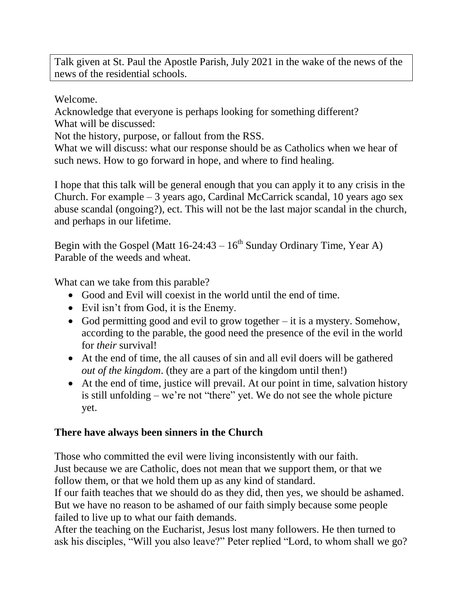Talk given at St. Paul the Apostle Parish, July 2021 in the wake of the news of the news of the residential schools.

Welcome.

Acknowledge that everyone is perhaps looking for something different? What will be discussed:

Not the history, purpose, or fallout from the RSS.

What we will discuss: what our response should be as Catholics when we hear of such news. How to go forward in hope, and where to find healing.

I hope that this talk will be general enough that you can apply it to any crisis in the Church. For example – 3 years ago, Cardinal McCarrick scandal, 10 years ago sex abuse scandal (ongoing?), ect. This will not be the last major scandal in the church, and perhaps in our lifetime.

Begin with the Gospel (Matt  $16-24:43-16^{th}$  Sunday Ordinary Time, Year A) Parable of the weeds and wheat.

What can we take from this parable?

- Good and Evil will coexist in the world until the end of time.
- Evil isn't from God, it is the Enemy.
- God permitting good and evil to grow together it is a mystery. Somehow, according to the parable, the good need the presence of the evil in the world for *their* survival!
- At the end of time, the all causes of sin and all evil doers will be gathered *out of the kingdom*. (they are a part of the kingdom until then!)
- At the end of time, justice will prevail. At our point in time, salvation history is still unfolding – we're not "there" yet. We do not see the whole picture yet.

## **There have always been sinners in the Church**

Those who committed the evil were living inconsistently with our faith. Just because we are Catholic, does not mean that we support them, or that we follow them, or that we hold them up as any kind of standard.

If our faith teaches that we should do as they did, then yes, we should be ashamed. But we have no reason to be ashamed of our faith simply because some people failed to live up to what our faith demands.

After the teaching on the Eucharist, Jesus lost many followers. He then turned to ask his disciples, "Will you also leave?" Peter replied "Lord, to whom shall we go?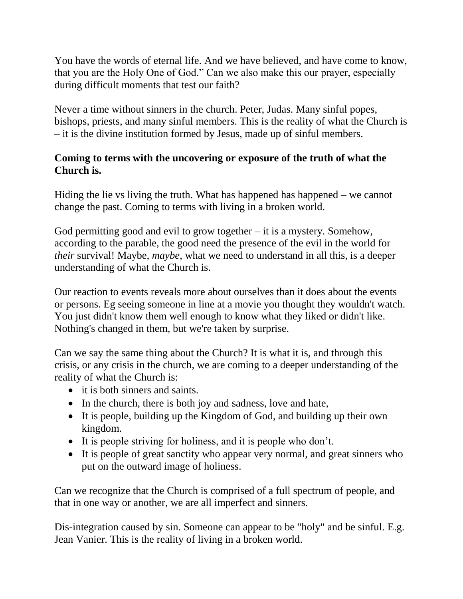You have the words of eternal life. And we have believed, and have come to know, that you are the Holy One of God." Can we also make this our prayer, especially during difficult moments that test our faith?

Never a time without sinners in the church. Peter, Judas. Many sinful popes, bishops, priests, and many sinful members. This is the reality of what the Church is – it is the divine institution formed by Jesus, made up of sinful members.

## **Coming to terms with the uncovering or exposure of the truth of what the Church is.**

Hiding the lie vs living the truth. What has happened has happened – we cannot change the past. Coming to terms with living in a broken world.

God permitting good and evil to grow together – it is a mystery. Somehow, according to the parable, the good need the presence of the evil in the world for *their* survival! Maybe, *maybe*, what we need to understand in all this, is a deeper understanding of what the Church is.

Our reaction to events reveals more about ourselves than it does about the events or persons. Eg seeing someone in line at a movie you thought they wouldn't watch. You just didn't know them well enough to know what they liked or didn't like. Nothing's changed in them, but we're taken by surprise.

Can we say the same thing about the Church? It is what it is, and through this crisis, or any crisis in the church, we are coming to a deeper understanding of the reality of what the Church is:

- it is both sinners and saints.
- In the church, there is both joy and sadness, love and hate,
- It is people, building up the Kingdom of God, and building up their own kingdom.
- It is people striving for holiness, and it is people who don't.
- It is people of great sanctity who appear very normal, and great sinners who put on the outward image of holiness.

Can we recognize that the Church is comprised of a full spectrum of people, and that in one way or another, we are all imperfect and sinners.

Dis-integration caused by sin. Someone can appear to be "holy" and be sinful. E.g. Jean Vanier. This is the reality of living in a broken world.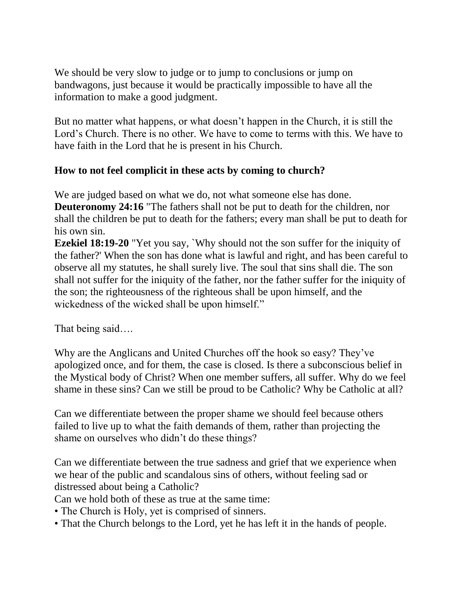We should be very slow to judge or to jump to conclusions or jump on bandwagons, just because it would be practically impossible to have all the information to make a good judgment.

But no matter what happens, or what doesn't happen in the Church, it is still the Lord's Church. There is no other. We have to come to terms with this. We have to have faith in the Lord that he is present in his Church.

## **How to not feel complicit in these acts by coming to church?**

We are judged based on what we do, not what someone else has done. **Deuteronomy 24:16** "The fathers shall not be put to death for the children, nor shall the children be put to death for the fathers; every man shall be put to death for his own sin.

**Ezekiel 18:19-20** "Yet you say, `Why should not the son suffer for the iniquity of the father?' When the son has done what is lawful and right, and has been careful to observe all my statutes, he shall surely live. The soul that sins shall die. The son shall not suffer for the iniquity of the father, nor the father suffer for the iniquity of the son; the righteousness of the righteous shall be upon himself, and the wickedness of the wicked shall be upon himself."

That being said….

Why are the Anglicans and United Churches off the hook so easy? They've apologized once, and for them, the case is closed. Is there a subconscious belief in the Mystical body of Christ? When one member suffers, all suffer. Why do we feel shame in these sins? Can we still be proud to be Catholic? Why be Catholic at all?

Can we differentiate between the proper shame we should feel because others failed to live up to what the faith demands of them, rather than projecting the shame on ourselves who didn't do these things?

Can we differentiate between the true sadness and grief that we experience when we hear of the public and scandalous sins of others, without feeling sad or distressed about being a Catholic?

Can we hold both of these as true at the same time:

- The Church is Holy, yet is comprised of sinners.
- That the Church belongs to the Lord, yet he has left it in the hands of people.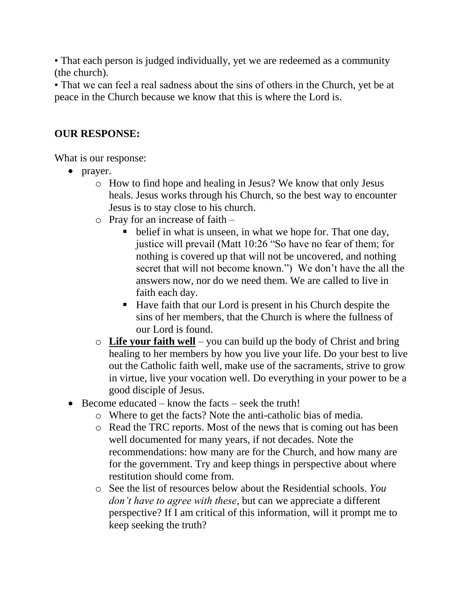• That each person is judged individually, yet we are redeemed as a community (the church).

• That we can feel a real sadness about the sins of others in the Church, yet be at peace in the Church because we know that this is where the Lord is.

## **OUR RESPONSE:**

What is our response:

- $\bullet$  prayer.
	- o How to find hope and healing in Jesus? We know that only Jesus heals. Jesus works through his Church, so the best way to encounter Jesus is to stay close to his church.
	- o Pray for an increase of faith
		- belief in what is unseen, in what we hope for. That one day, justice will prevail (Matt 10:26 "So have no fear of them; for nothing is covered up that will not be uncovered, and nothing secret that will not become known.") We don't have the all the answers now, nor do we need them. We are called to live in faith each day.
		- Have faith that our Lord is present in his Church despite the sins of her members, that the Church is where the fullness of our Lord is found.
	- o **Life your faith well** you can build up the body of Christ and bring healing to her members by how you live your life. Do your best to live out the Catholic faith well, make use of the sacraments, strive to grow in virtue, live your vocation well. Do everything in your power to be a good disciple of Jesus.
- $\bullet$  Become educated know the facts seek the truth!
	- o Where to get the facts? Note the anti-catholic bias of media.
	- o Read the TRC reports. Most of the news that is coming out has been well documented for many years, if not decades. Note the recommendations: how many are for the Church, and how many are for the government. Try and keep things in perspective about where restitution should come from.
	- o See the list of resources below about the Residential schools. *You don't have to agree with these*, but can we appreciate a different perspective? If I am critical of this information, will it prompt me to keep seeking the truth?